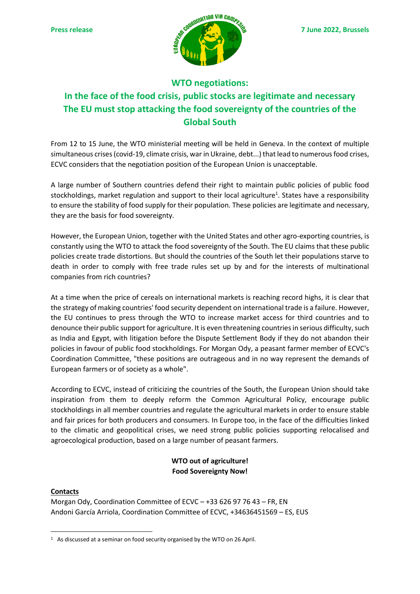

## **WTO negotiations: In the face of the food crisis, public stocks are legitimate and necessary The EU must stop attacking the food sovereignty of the countries of the Global South**

From 12 to 15 June, the WTO ministerial meeting will be held in Geneva. In the context of multiple simultaneous crises (covid-19, climate crisis, war in Ukraine, debt...) that lead to numerous food crises, ECVC considers that the negotiation position of the European Union is unacceptable.

A large number of Southern countries defend their right to maintain public policies of public food stockholdings, market regulation and support to their local agriculture<sup>1</sup>. States have a responsibility to ensure the stability of food supply for their population. These policies are legitimate and necessary, they are the basis for food sovereignty.

However, the European Union, together with the United States and other agro-exporting countries, is constantly using the WTO to attack the food sovereignty of the South. The EU claims that these public policies create trade distortions. But should the countries of the South let their populations starve to death in order to comply with free trade rules set up by and for the interests of multinational companies from rich countries?

At a time when the price of cereals on international markets is reaching record highs, it is clear that the strategy of making countries' food security dependent on international trade is a failure. However, the EU continues to press through the WTO to increase market access for third countries and to denounce their public support for agriculture. It is even threatening countries in serious difficulty, such as India and Egypt, with litigation before the Dispute Settlement Body if they do not abandon their policies in favour of public food stockholdings. For Morgan Ody, a peasant farmer member of ECVC's Coordination Committee, "these positions are outrageous and in no way represent the demands of European farmers or of society as a whole".

According to ECVC, instead of criticizing the countries of the South, the European Union should take inspiration from them to deeply reform the Common Agricultural Policy, encourage public stockholdings in all member countries and regulate the agricultural markets in order to ensure stable and fair prices for both producers and consumers. In Europe too, in the face of the difficulties linked to the climatic and geopolitical crises, we need strong public policies supporting relocalised and agroecological production, based on a large number of peasant farmers.

## **WTO out of agriculture! Food Sovereignty Now!**

## **Contacts**

Morgan Ody, Coordination Committee of ECVC – +33 626 97 76 43 – FR, EN Andoni García Arriola, Coordination Committee of ECVC, +34636451569 – ES, EUS

<sup>&</sup>lt;sup>1</sup> As discussed at a seminar on food security organised by the WTO on 26 April.